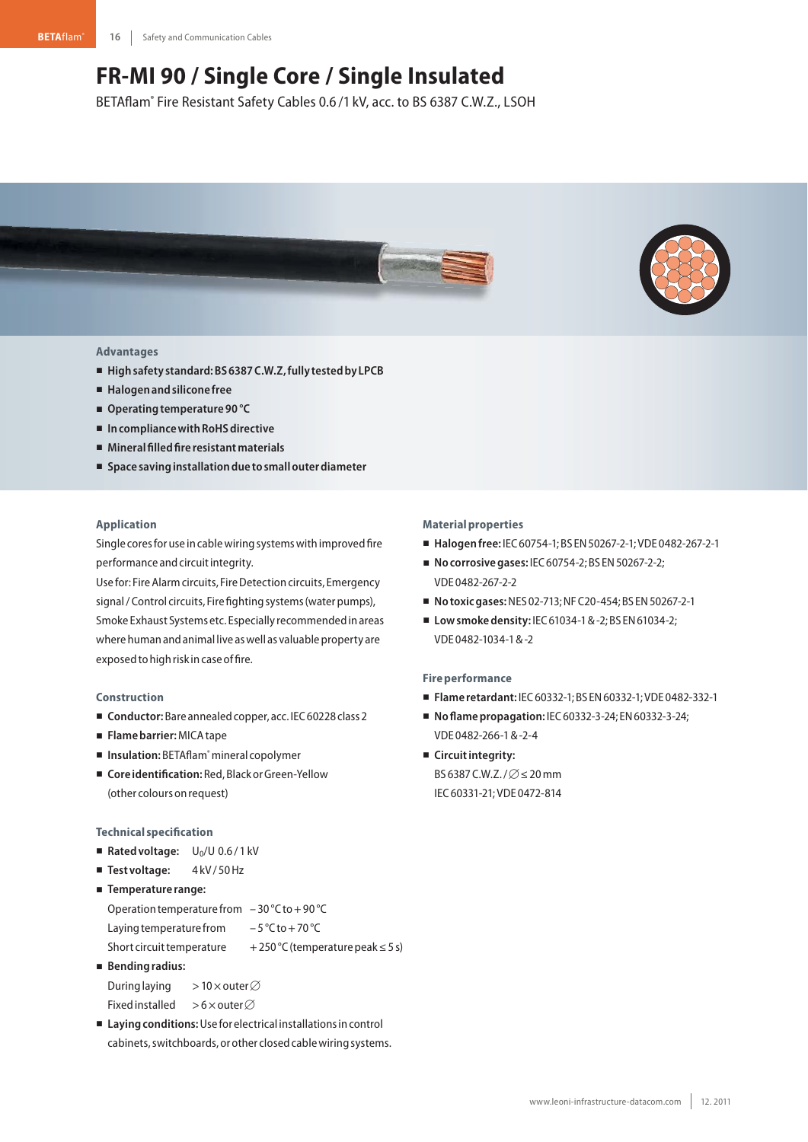# **FR-MI 90 / Single Core / Single Insulated**

BETAflam® Fire Resistant Safety Cables 0.6 /1 kV, acc. to BS 6387 C.W.Z., LSOH





## **Advantages**

- **Highsafety standard:BS6387C.W.Z,fully testedby LPCB**
- **Halogenandsilicone free**
- Operating temperature 90 °C
- In compliance with RoHS directive
- **Mineralfilledfire resistantmaterials**
- **Space savinginstallationdue tosmallouterdiameter**

## **Application**

Single cores for use in cable wiring systems with improved fire performance and circuit integrity.

Use for: Fire Alarm circuits, Fire Detection circuits, Emergency signal / Control circuits, Fire fighting systems (water pumps), Smoke Exhaust Systems etc. Especially recommendedinareas where human and animal live as well as valuable property are exposed to high risk in case of fire.

#### **Construction**

- Conductor: Bare annealed copper, acc. IEC 60228 class 2
- **Flamebarrier:**MICAtape
- Insulation: BETAflam® mineral copolymer
- Coreidentification: Red, Black or Green-Yellow (other colours onrequest)

#### **Technical specification**

- Rated voltage: U<sub>0</sub>/U 0.6/1 kV
- Test voltage: 4kV/50Hz

```
-
Temperature range:
```
Operation temperature from  $-30$  °C to +90 °C

Laying temperature from  $-5^{\circ}$ C to + 70 °C

Short circuit temperature  $+250 °C$  (temperature peak  $\leq 5 s$ )

- **Bendingradius:**

```
During laying
                      >10\timesouter\varnothingFixed installed > 6 \times outer\varnothing
```
■ Laying conditions: Use for electrical installations in control cabinets, switchboards, or other closed cable wiring systems.

## **Materialproperties**

- **Halogenfree:** IEC60754-1;BS EN50267-2-1;VDE 0482-267-2-1
- **No corrosive gases: IEC 60754-2; BS EN 50267-2-2;** VDE 0482-267-2-2
- **Notoxicgases:**NES 02-713;NFC20-454;BS EN50267-2-1
- Low smoke density: IEC 61034-1 & -2; BS EN 61034-2; VDE 0482-1034-1&-2

### **Fire performance**

- **Flame retardant:** IEC60332-1;BS EN60332-1;VDE 0482-332-1
- **Noflamepropagation:** IEC60332-3-24; EN60332-3-24; VDE 0482-266-1&-2-4
- **E** Circuit integrity: BS 6387 C.W.Z. /  $\varnothing$   $\leq$  20 mm IEC60331-21;VDE 0472-814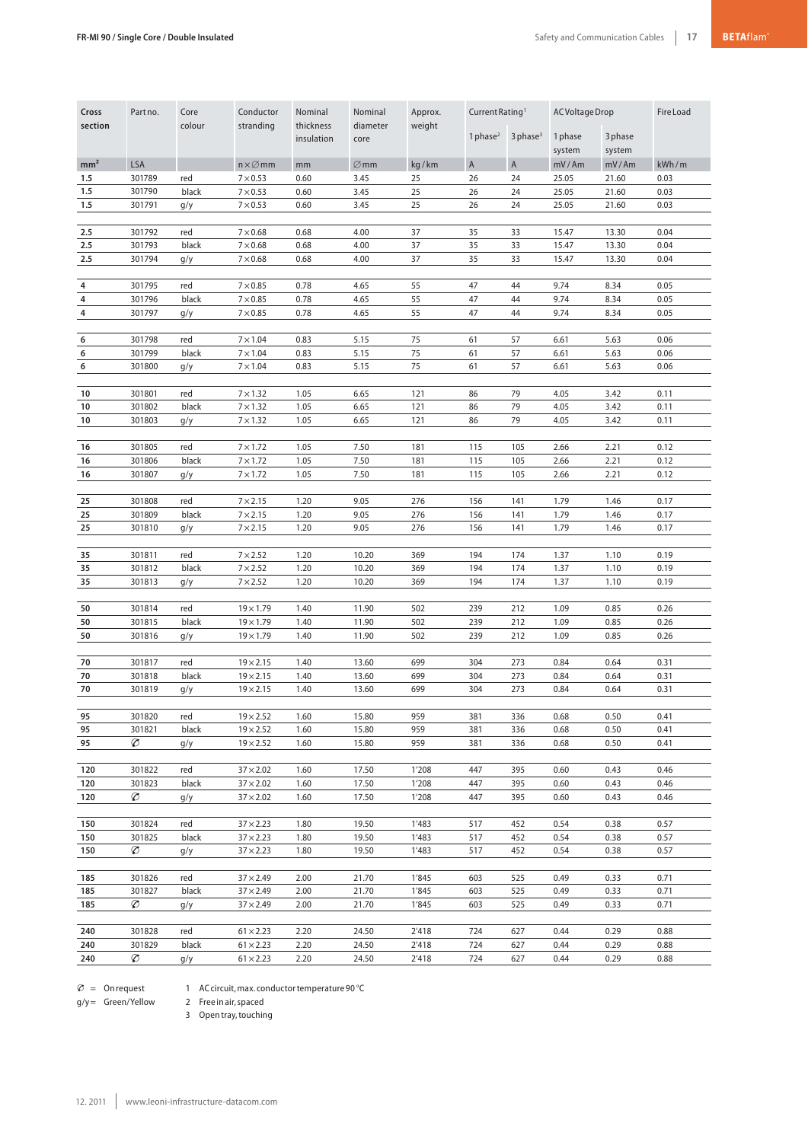| Cross<br>section | Part no.         | Core<br>colour | Conductor<br>stranding               | Nominal<br>thickness<br>insulation | Nominal<br>diameter<br>core | Approx.<br>weight |              | Current Rating <sup>1</sup> |              | AC Voltage Drop |              |
|------------------|------------------|----------------|--------------------------------------|------------------------------------|-----------------------------|-------------------|--------------|-----------------------------|--------------|-----------------|--------------|
|                  |                  |                |                                      |                                    |                             |                   | 1 phase $^2$ | $3$ phase <sup>3</sup>      | 1 phase      | 3 phase         |              |
|                  |                  |                |                                      |                                    |                             |                   |              |                             | system       | system          |              |
| mm <sup>2</sup>  | LSA              |                | $n \times \varnothing$ mm            | mm                                 | $\varnothing$ mm            | kg/km             | $\mathsf A$  | $\overline{A}$              | mV/Am        | mV/Am           | kWh/m        |
| 1.5              | 301789           | red            | $7 \times 0.53$                      | 0.60                               | 3.45                        | 25                | 26           | 24                          | 25.05        | 21.60           | 0.03         |
| 1.5              | 301790           | black          | $7 \times 0.53$                      | 0.60                               | 3.45                        | 25                | 26           | 24                          | 25.05        | 21.60           | 0.03         |
| 1.5              | 301791           | g/y            | $7 \times 0.53$                      | 0.60                               | 3.45                        | 25                | 26           | 24                          | 25.05        | 21.60           | 0.03         |
| 2.5              | 301792           | red            | $7\times0.68$                        | 0.68                               | 4.00                        | 37                | 35           | 33                          | 15.47        | 13.30           | 0.04         |
| 2.5              | 301793           | black          | $7\times0.68$                        | 0.68                               | 4.00                        | 37                | 35           | 33                          | 15.47        | 13.30           | 0.04         |
| 2.5              | 301794           | g/y            | $7 \times 0.68$                      | 0.68                               | 4.00                        | 37                | 35           | 33                          | 15.47        | 13.30           | 0.04         |
|                  |                  |                |                                      |                                    |                             |                   |              |                             |              |                 |              |
| 4                | 301795           | red            | $7\times0.85$                        | 0.78                               | 4.65                        | 55                | 47           | 44                          | 9.74         | 8.34            | 0.05         |
| $\pmb{4}$        | 301796           | black          | $7\times0.85$                        | 0.78                               | 4.65                        | 55                | 47           | 44                          | 9.74         | 8.34            | 0.05         |
| $\pmb{4}$        | 301797           | g/y            | $7 \times 0.85$                      | 0.78                               | 4.65                        | 55                | 47           | 44                          | 9.74         | 8.34            | 0.05         |
| 6                | 301798           | red            | $7 \times 1.04$                      | 0.83                               | 5.15                        | 75                | 61           | 57                          | 6.61         | 5.63            | 0.06         |
| 6                | 301799           | black          | $7 \times 1.04$                      | 0.83                               | 5.15                        | 75                | 61           | 57                          | 6.61         | 5.63            | 0.06         |
| 6                | 301800           | g/y            | $7 \times 1.04$                      | 0.83                               | 5.15                        | 75                | 61           | 57                          | 6.61         | 5.63            | 0.06         |
|                  |                  |                |                                      |                                    |                             |                   |              |                             |              |                 |              |
| 10               | 301801           | red            | $7 \times 1.32$                      | 1.05                               | 6.65                        | 121               | 86           | 79                          | 4.05         | 3.42            | 0.11         |
| 10               | 301802           | black          | $7 \times 1.32$                      | 1.05                               | 6.65                        | 121               | 86           | 79                          | 4.05         | 3.42            | 0.11         |
| 10               | 301803           | g/y            | $7 \times 1.32$                      | 1.05                               | 6.65                        | 121               | 86           | 79                          | 4.05         | 3.42            | 0.11         |
|                  |                  |                |                                      |                                    |                             |                   |              |                             |              |                 |              |
| 16<br>16         | 301805<br>301806 | red<br>black   | $7 \times 1.72$<br>$7 \times 1.72$   | 1.05<br>1.05                       | 7.50<br>7.50                | 181<br>181        | 115<br>115   | 105<br>105                  | 2.66<br>2.66 | 2.21<br>2.21    | 0.12<br>0.12 |
| 16               | 301807           | g/y            | $7 \times 1.72$                      | 1.05                               | 7.50                        | 181               | 115          | 105                         | 2.66         | 2.21            | 0.12         |
|                  |                  |                |                                      |                                    |                             |                   |              |                             |              |                 |              |
| 25               | 301808           | red            | $7 \times 2.15$                      | 1.20                               | 9.05                        | 276               | 156          | 141                         | 1.79         | 1.46            | 0.17         |
| 25               | 301809           | black          | $7 \times 2.15$                      | 1.20                               | 9.05                        | 276               | 156          | 141                         | 1.79         | 1.46            | 0.17         |
| 25               | 301810           | g/y            | $7 \times 2.15$                      | 1.20                               | 9.05                        | 276               | 156          | 141                         | 1.79         | 1.46            | 0.17         |
|                  |                  |                |                                      |                                    |                             |                   |              |                             |              |                 |              |
| 35<br>35         | 301811<br>301812 | red<br>black   | $7 \times 2.52$<br>$7 \times 2.52$   | 1.20<br>1.20                       | 10.20<br>10.20              | 369<br>369        | 194<br>194   | 174                         | 1.37<br>1.37 | 1.10<br>1.10    | 0.19<br>0.19 |
| 35               | 301813           | g/y            | $7 \times 2.52$                      | 1.20                               | 10.20                       | 369               | 194          | 174<br>174                  | 1.37         | 1.10            | 0.19         |
|                  |                  |                |                                      |                                    |                             |                   |              |                             |              |                 |              |
| 50               | 301814           | red            | $19 \times 1.79$                     | 1.40                               | 11.90                       | 502               | 239          | 212                         | 1.09         | 0.85            | 0.26         |
| 50               | 301815           | black          | $19 \times 1.79$                     | 1.40                               | 11.90                       | 502               | 239          | 212                         | 1.09         | 0.85            | 0.26         |
| 50               | 301816           | g/y            | $19 \times 1.79$                     | 1.40                               | 11.90                       | 502               | 239          | 212                         | 1.09         | 0.85            | 0.26         |
|                  |                  |                |                                      |                                    |                             |                   |              |                             |              |                 |              |
| 70               | 301817           | red            | $19 \times 2.15$                     | 1.40                               | 13.60                       | 699               | 304          | 273                         | 0.84         | 0.64            | 0.31         |
| 70<br>70         | 301818<br>301819 | black<br>g/y   | $19 \times 2.15$<br>$19 \times 2.15$ | 1.40<br>1.40                       | 13.60<br>13.60              | 699<br>699        | 304<br>304   | 273<br>273                  | 0.84<br>0.84 | 0.64<br>0.64    | 0.31<br>0.31 |
|                  |                  |                |                                      |                                    |                             |                   |              |                             |              |                 |              |
| 95               | 301820           | red            | $19 \times 2.52$                     | 1.60                               | 15.80                       | 959               | 381          | 336                         | 0.68         | 0.50            | 0.41         |
| 95               | 301821           | black          | $19 \times 2.52$                     | 1.60                               | 15.80                       | 959               | 381          | 336                         | 0.68         | 0.50            | 0.41         |
| 95               | Ø                | g/y            | $19 \times 2.52$                     | 1.60                               | 15.80                       | 959               | 381          | 336                         | 0.68         | 0.50            | 0.41         |
|                  |                  |                |                                      |                                    |                             |                   |              |                             |              |                 |              |
| 120              | 301822           | red            | $37 \times 2.02$                     | 1.60                               | 17.50                       | 1'208             | 447          | 395                         | 0.60         | 0.43            | 0.46         |
| 120<br>120       | 301823<br>Ø      | black          | $37 \times 2.02$<br>$37 \times 2.02$ | 1.60<br>1.60                       | 17.50<br>17.50              | 1'208<br>1'208    | 447<br>447   | 395<br>395                  | 0.60<br>0.60 | 0.43<br>0.43    | 0.46<br>0.46 |
|                  |                  | g/y            |                                      |                                    |                             |                   |              |                             |              |                 |              |
| 150              | 301824           | red            | $37 \times 2.23$                     | 1.80                               | 19.50                       | 1'483             | 517          | 452                         | 0.54         | 0.38            | 0.57         |
| 150              | 301825           | black          | $37 \times 2.23$                     | 1.80                               | 19.50                       | 1'483             | 517          | 452                         | 0.54         | 0.38            | 0.57         |
| 150              | Ø                | g/y            | $37 \times 2.23$                     | 1.80                               | 19.50                       | 1'483             | 517          | 452                         | 0.54         | 0.38            | 0.57         |
|                  |                  |                |                                      |                                    |                             |                   |              |                             |              |                 |              |
| 185              | 301826           | red            | $37 \times 2.49$                     | 2.00                               | 21.70                       | 1'845             | 603          | 525                         | 0.49         | 0.33            | 0.71         |
| 185              | 301827           | black          | $37 \times 2.49$                     | 2.00                               | 21.70                       | 1'845             | 603          | 525                         | 0.49         | 0.33            | 0.71         |
| 185              | Ø                | g/y            | $37 \times 2.49$                     | 2.00                               | 21.70                       | 1'845             | 603          | 525                         | 0.49         | 0.33            | 0.71         |
| 240              | 301828           | red            | $61 \times 2.23$                     | 2.20                               | 24.50                       | 2'418             | 724          | 627                         | 0.44         | 0.29            | 0.88         |
| 240              | 301829           | black          | $61 \times 2.23$                     | 2.20                               | 24.50                       | 2'418             | 724          | 627                         | 0.44         | 0.29            | 0.88         |
| 240              | Ø                | g/y            | $61 \times 2.23$                     | 2.20                               | 24.50                       | 2'418             | 724          | 627                         | 0.44         | 0.29            | 0.88         |

 $\varnothing$  = Onrequest

1 AC circuit, max. conductor temperature 90 °C

g/y = Green/Yellow 2 Free in air, spaced

3 Opentray,touching